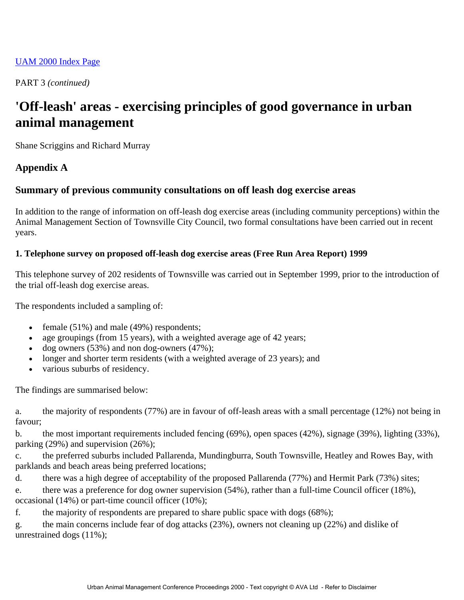#### [UAM 2000 Index Page](http://www.iimage.com.au/ava.com.au/UAM/proc00/index00.htm)

PART 3 *(continued)*

# **'Off-leash' areas - exercising principles of good governance in urban animal management**

Shane Scriggins and Richard Murray

# **Appendix A**

## **Summary of previous community consultations on off leash dog exercise areas**

In addition to the range of information on off-leash dog exercise areas (including community perceptions) within the Animal Management Section of Townsville City Council, two formal consultations have been carried out in recent years.

#### **1. Telephone survey on proposed off-leash dog exercise areas (Free Run Area Report) 1999**

This telephone survey of 202 residents of Townsville was carried out in September 1999, prior to the introduction of the trial off-leash dog exercise areas.

The respondents included a sampling of:

- female  $(51\%)$  and male  $(49\%)$  respondents;
- age groupings (from 15 years), with a weighted average age of 42 years;
- dog owners  $(53%)$  and non dog-owners  $(47%)$ ;
- longer and shorter term residents (with a weighted average of 23 years); and
- various suburbs of residency.

The findings are summarised below:

a. the majority of respondents (77%) are in favour of off-leash areas with a small percentage (12%) not being in favour;

b. the most important requirements included fencing (69%), open spaces (42%), signage (39%), lighting (33%), parking (29%) and supervision (26%);

c. the preferred suburbs included Pallarenda, Mundingburra, South Townsville, Heatley and Rowes Bay, with parklands and beach areas being preferred locations;

d. there was a high degree of acceptability of the proposed Pallarenda (77%) and Hermit Park (73%) sites;

e. there was a preference for dog owner supervision (54%), rather than a full-time Council officer (18%), occasional (14%) or part-time council officer (10%);

f. the majority of respondents are prepared to share public space with dogs (68%);

g. the main concerns include fear of dog attacks (23%), owners not cleaning up (22%) and dislike of unrestrained dogs (11%);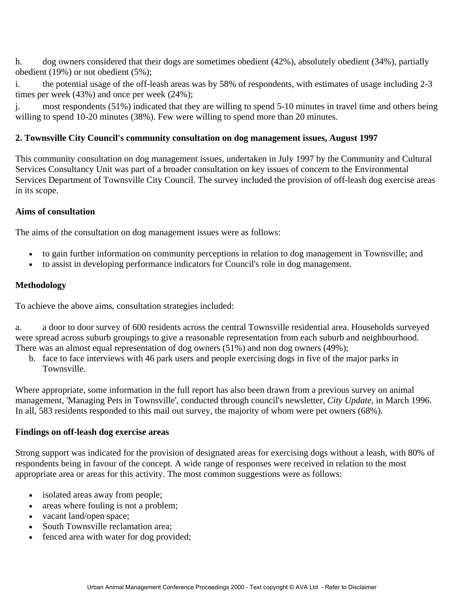h. dog owners considered that their dogs are sometimes obedient (42%), absolutely obedient (34%), partially obedient (19%) or not obedient (5%);

i. the potential usage of the off-leash areas was by 58% of respondents, with estimates of usage including 2-3 times per week (43%) and once per week (24%);

j. most respondents (51%) indicated that they are willing to spend 5-10 minutes in travel time and others being willing to spend 10-20 minutes (38%). Few were willing to spend more than 20 minutes.

## **2. Townsville City Council's community consultation on dog management issues, August 1997**

This community consultation on dog management issues, undertaken in July 1997 by the Community and Cultural Services Consultancy Unit was part of a broader consultation on key issues of concern to the Environmental Services Department of Townsville City Council. The survey included the provision of off-leash dog exercise areas in its scope.

### **Aims of consultation**

The aims of the consultation on dog management issues were as follows:

- to gain further information on community perceptions in relation to dog management in Townsville; and
- to assist in developing performance indicators for Council's role in dog management.

#### **Methodology**

To achieve the above aims, consultation strategies included:

a. a door to door survey of 600 residents across the central Townsville residential area. Households surveyed were spread across suburb groupings to give a reasonable representation from each suburb and neighbourhood. There was an almost equal representation of dog owners (51%) and non dog owners (49%);

b. face to face interviews with 46 park users and people exercising dogs in five of the major parks in Townsville.

Where appropriate, some information in the full report has also been drawn from a previous survey on animal management, 'Managing Pets in Townsville', conducted through council's newsletter, *City Update*, in March 1996. In all, 583 residents responded to this mail out survey, the majority of whom were pet owners (68%).

#### **Findings on off-leash dog exercise areas**

Strong support was indicated for the provision of designated areas for exercising dogs without a leash, with 80% of respondents being in favour of the concept. A wide range of responses were received in relation to the most appropriate area or areas for this activity. The most common suggestions were as follows:

- isolated areas away from people;
- areas where fouling is not a problem;
- vacant land/open space;
- South Townsville reclamation area:
- fenced area with water for dog provided;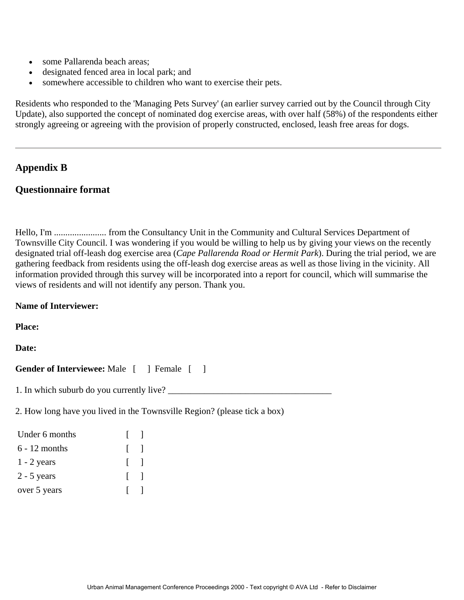- some Pallarenda beach areas:
- designated fenced area in local park; and
- somewhere accessible to children who want to exercise their pets.

Residents who responded to the 'Managing Pets Survey' (an earlier survey carried out by the Council through City Update), also supported the concept of nominated dog exercise areas, with over half (58%) of the respondents either strongly agreeing or agreeing with the provision of properly constructed, enclosed, leash free areas for dogs.

## **Appendix B**

#### **Questionnaire format**

Hello, I'm ....................... from the Consultancy Unit in the Community and Cultural Services Department of Townsville City Council. I was wondering if you would be willing to help us by giving your views on the recently designated trial off-leash dog exercise area (*Cape Pallarenda Road or Hermit Park*). During the trial period, we are gathering feedback from residents using the off-leash dog exercise areas as well as those living in the vicinity. All information provided through this survey will be incorporated into a report for council, which will summarise the views of residents and will not identify any person. Thank you.

#### **Name of Interviewer:**

**Place:**

#### **Date:**

Gender of Interviewee: Male  $\begin{bmatrix} 1 \end{bmatrix}$  Female  $\begin{bmatrix} 1 \end{bmatrix}$ 

1. In which suburb do you currently live?

2. How long have you lived in the Townsville Region? (please tick a box)

| Under 6 months  | $\mathbf{I}$  |  |
|-----------------|---------------|--|
| $6 - 12$ months | $\mathbf{I}$  |  |
| $1 - 2$ years   | $\mathbf{I}$  |  |
| $2 - 5$ years   | $\vert \vert$ |  |
| over 5 years    | $\mathbf{I}$  |  |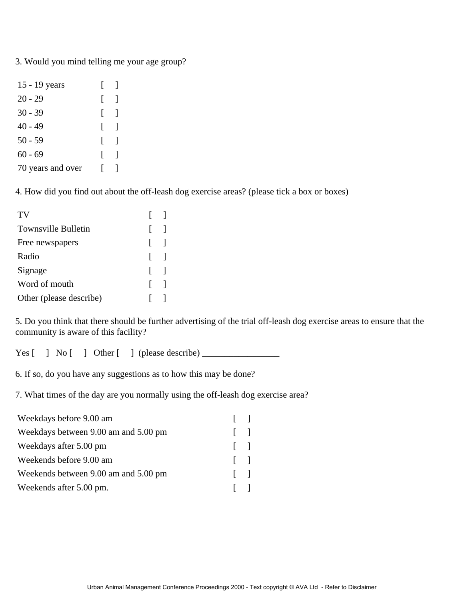3. Would you mind telling me your age group?

| 15 - 19 years     | $\mathsf{I}$                          |  |
|-------------------|---------------------------------------|--|
| $20 - 29$         | $\Box$                                |  |
| $30 - 39$         | $\begin{bmatrix} 1 \end{bmatrix}$     |  |
| $40 - 49$         | $\Box$                                |  |
| $50 - 59$         | $\begin{array}{ccc} \end{array}$      |  |
| $60 - 69$         | $\begin{bmatrix} 1 & 1 \end{bmatrix}$ |  |
| 70 years and over | L                                     |  |

4. How did you find out about the off-leash dog exercise areas? (please tick a box or boxes)

| TV                         | $\Box$ |  |
|----------------------------|--------|--|
| <b>Townsville Bulletin</b> | $\Box$ |  |
| Free newspapers            | $\Box$ |  |
| Radio                      | $\Box$ |  |
| Signage                    | $\Box$ |  |
| Word of mouth              | $\Box$ |  |
| Other (please describe)    |        |  |

5. Do you think that there should be further advertising of the trial off-leash dog exercise areas to ensure that the community is aware of this facility?

Yes [ ] No [ ] Other [ ] (please describe)

6. If so, do you have any suggestions as to how this may be done?

7. What times of the day are you normally using the off-leash dog exercise area?

| Weekdays before 9.00 am              | $\mathbf{1}$ |  |
|--------------------------------------|--------------|--|
| Weekdays between 9.00 am and 5.00 pm | $\mathbf{1}$ |  |
| Weekdays after 5.00 pm               | $\mathbf{1}$ |  |
| Weekends before 9.00 am              | $\mathbf{1}$ |  |
| Weekends between 9.00 am and 5.00 pm | $\mathbf{1}$ |  |
| Weekends after 5.00 pm.              | $\mathbf{1}$ |  |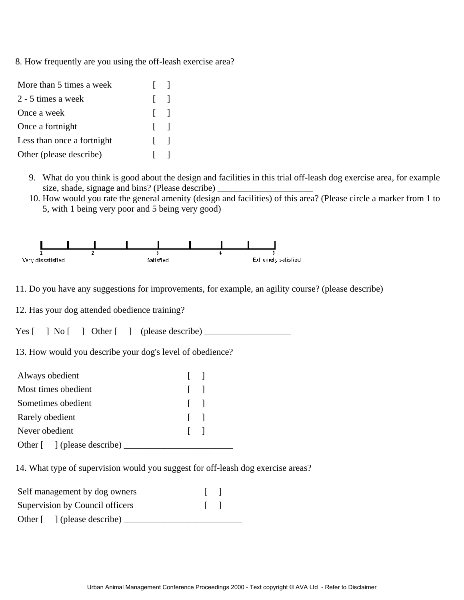8. How frequently are you using the off-leash exercise area?

| More than 5 times a week   | $\mathbf{L}$              |  |
|----------------------------|---------------------------|--|
| 2 - 5 times a week         | $\Box$                    |  |
| Once a week                | $\mathbf{I}$              |  |
| Once a fortnight           | $\mathbf{I}$ $\mathbf{I}$ |  |
| Less than once a fortnight | $\Box$                    |  |
| Other (please describe)    |                           |  |

- 9. What do you think is good about the design and facilities in this trial off-leash dog exercise area, for example size, shade, signage and bins? (Please describe)
- 10. How would you rate the general amenity (design and facilities) of this area? (Please circle a marker from 1 to 5, with 1 being very poor and 5 being very good)



11. Do you have any suggestions for improvements, for example, an agility course? (please describe)

12. Has your dog attended obedience training?

Yes [ ] No [ ] Other [ ] (please describe) \_\_\_\_\_\_\_\_\_\_\_\_\_\_\_\_\_\_\_

13. How would you describe your dog's level of obedience?

| Always obedient             | $\mathbf{1}$ |  |
|-----------------------------|--------------|--|
| Most times obedient         | $\Box$       |  |
| Sometimes obedient          | $\Box$       |  |
| Rarely obedient             | $\Box$       |  |
| Never obedient              | $\Box$       |  |
| Other [ ] (please describe) |              |  |

14. What type of supervision would you suggest for off-leash dog exercise areas?

| Self management by dog owners                 |              |
|-----------------------------------------------|--------------|
| Supervision by Council officers               | $\mathbf{1}$ |
| Other $\lceil \quad \rceil$ (please describe) |              |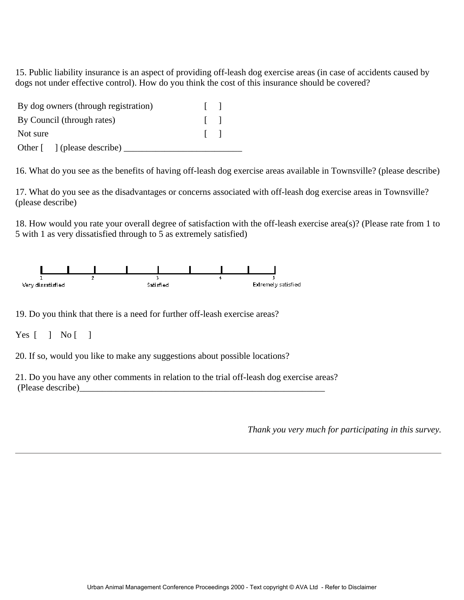15. Public liability insurance is an aspect of providing off-leash dog exercise areas (in case of accidents caused by dogs not under effective control). How do you think the cost of this insurance should be covered?

| By dog owners (through registration) |              |
|--------------------------------------|--------------|
| By Council (through rates)           | $\mathbf{1}$ |
| Not sure                             | $\mathbf{1}$ |
| Other [ ] (please describe)          |              |

16. What do you see as the benefits of having off-leash dog exercise areas available in Townsville? (please describe)

17. What do you see as the disadvantages or concerns associated with off-leash dog exercise areas in Townsville? (please describe)

18. How would you rate your overall degree of satisfaction with the off-leash exercise area(s)? (Please rate from 1 to 5 with 1 as very dissatisfied through to 5 as extremely satisfied)



19. Do you think that there is a need for further off-leash exercise areas?

Yes  $[ \ ]$  No  $[ \ ]$ 

20. If so, would you like to make any suggestions about possible locations?

21. Do you have any other comments in relation to the trial off-leash dog exercise areas? (Please describe)\_\_\_\_\_\_\_\_\_\_\_\_\_\_\_\_\_\_\_\_\_\_\_\_\_\_\_\_\_\_\_\_\_\_\_\_\_\_\_\_\_\_\_\_\_\_\_\_\_\_\_\_\_\_

*Thank you very much for participating in this survey.*